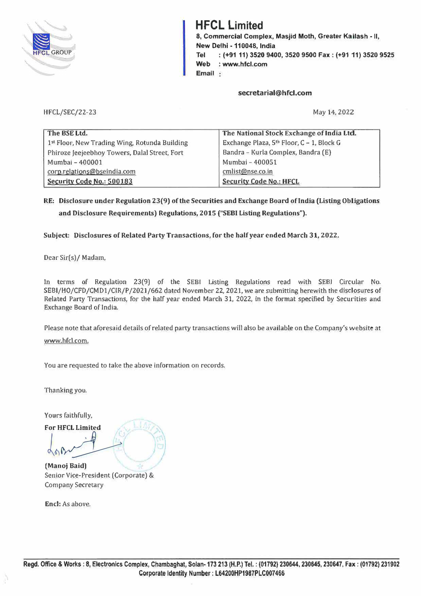

# **HFCL Limited**

8, Commercial Complex, Masjid Moth, Greater Ka ilash - II, New Delhi -110048, India Tel : (+91 11) 3520 9400, 3520 9500 Fax: (+9111) 3520 9525 Web : www.hfcl.com Email :

## **secretarial@hfcl.com**

## H FCL/SEC/22-23

May 14, 2022

| The BSE Ltd.                                  | The National Stock Exchange of India Ltd. |
|-----------------------------------------------|-------------------------------------------|
| 1st Floor, New Trading Wing, Rotunda Building | Exchange Plaza, 5th Floor, C - 1, Block G |
| Phiroze Jeejeebhoy Towers, Dalal Street, Fort | Bandra - Kurla Complex, Bandra (E)        |
| Mumbai - 400001                               | Mumbai - 400051                           |
| corp.relations@bseindia.com                   | cmlist@nse.co.in                          |
| Security Code No.: 500183                     | Security Code No.: HFCL                   |

# RE: Disclosure under Regulation 23(9) of the Securities and Exchange Board oflndia (Listing Obligations and Disclosure Requirements) Regulations, 2015 ("SEBI Listing Regulations").

# Subject: Disclosures of Related Party Transactions, for the half year ended March 31, 2022.

Dear Sir(s)/ Madam,

In terms of Regulation 23(9) of the SEBI Listing Regulations read with SEBI Circular No. SEBI/HO/CFD/CMDl/CIR/P/2021/662 dated November 22, 2021, we are submitting herewith the disclosures of Related Party Transactions, for the half year ended March 31, 2022, in the format specified by Securities and Exchange Board of India.

Please note that aforesaid details of related party transactions will also be available on the Company's website at www.hfcl.com.

You are requested to take the above information on records.

Thanking you.

Yours faithfully,

For HFCL Limited

door P

(Manoj Baid) Senior Vice-President (Corporate) & Company Secretary

Encl: As above.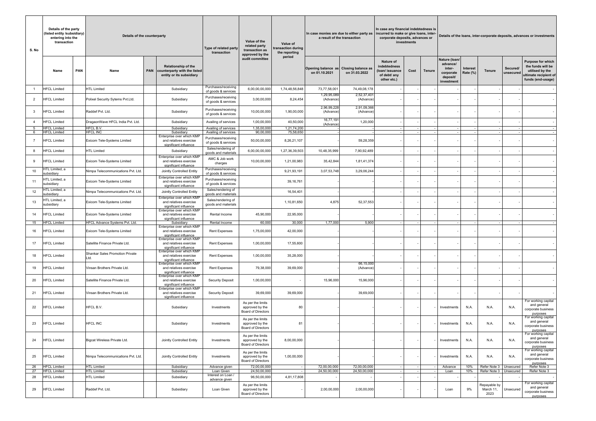| Details of the party<br>(listed entity /subsidiary)  <br>entering into the<br>transaction<br>S. No |                                            |            | Details of the counterparty                                   |                                                                                                           | Type of related party<br>transaction         | Value of the<br>related party<br>transaction as<br>approved by the | Value of<br>transaction during<br>the reporting | In case monies are due to either party as<br>a result of the transaction |                                            | In case any financial indebtedness is<br>incurred to make or give loans, inter-<br>corporate deposits, advances or<br>investments |        | Details of the loans, inter-corporate deposits, advances or investments |                                                                            |                             |                                   |                          |                                                                                                                |  |
|----------------------------------------------------------------------------------------------------|--------------------------------------------|------------|---------------------------------------------------------------|-----------------------------------------------------------------------------------------------------------|----------------------------------------------|--------------------------------------------------------------------|-------------------------------------------------|--------------------------------------------------------------------------|--------------------------------------------|-----------------------------------------------------------------------------------------------------------------------------------|--------|-------------------------------------------------------------------------|----------------------------------------------------------------------------|-----------------------------|-----------------------------------|--------------------------|----------------------------------------------------------------------------------------------------------------|--|
|                                                                                                    | Name                                       | <b>PAN</b> | Name                                                          | <b>Relationship of the</b><br>PAN   counterparty with the listed<br>entity or its subsidiary              |                                              | audit committee                                                    | period                                          | Opening balance as<br>on 01.10.2021                                      | <b>Closing balance as</b><br>on 31.03.2022 | Nature of<br>indebtedness<br>(Ioan/issuance<br>of debt/ any<br>other etc.)                                                        | Cost   | Tenure                                                                  | Nature (Ioan/<br>advance/<br>inter-<br>corporate<br>deposit/<br>investment | <b>Interest</b><br>Rate (%) | <b>Tenure</b>                     | Secured/<br>unsecured    | <b>Purpose for which</b><br>the funds will be<br>utilised by the<br>ultimate recipient of<br>funds (end-usage) |  |
|                                                                                                    | <b>HFCL Limited</b>                        |            | <b>HTL Limited</b>                                            | Subsidiary                                                                                                | Purchases/receiving<br>of goods & services   | 6,00,00,00,000                                                     | 1,74,48,56,848                                  | 73,77,58,001                                                             | 74,49,08,178                               |                                                                                                                                   |        |                                                                         |                                                                            |                             |                                   |                          |                                                                                                                |  |
| $\overline{2}$                                                                                     | <b>HFCL Limited</b>                        |            | Polixel Security Sytems Pvt.Ltd.                              | Subsidiary                                                                                                | Purchases/receiving<br>of goods & services   | 3,00,00,000                                                        | 8,24,454                                        | 1,29,95,089<br>(Advance)                                                 | 2,52,37,401<br>(Advance)                   |                                                                                                                                   |        |                                                                         |                                                                            |                             |                                   |                          |                                                                                                                |  |
| 3                                                                                                  | <b>HFCL Limited</b>                        |            | Raddef Pvt. Ltd.                                              | Subsidiary                                                                                                | Purchases/receiving<br>of goods & services   | 10,00,00,000                                                       | 1,90,00,000                                     | 2,96,99,22<br>(Advance)                                                  | 2,91,09,366<br>(Advance)                   |                                                                                                                                   |        |                                                                         |                                                                            |                             |                                   |                          |                                                                                                                |  |
| $\overline{4}$                                                                                     | <b>HFCL Limited</b>                        |            | DragaonWave HFCL India Pvt. Ltd.                              | Subsidiary                                                                                                | Availing of services                         | 1,00,00,000                                                        | 40,50,000                                       | 16,77,191<br>(Advance                                                    | 1,20,000                                   |                                                                                                                                   |        |                                                                         |                                                                            |                             |                                   |                          |                                                                                                                |  |
| 5<br>6                                                                                             | <b>HFCL Limited</b><br><b>HFCL Limited</b> |            | HFCL B.V.<br><b>HFCL INC</b>                                  | Subsidiary<br>Subsidiarv                                                                                  | Availing of services<br>Availing of services | 1,35,00,000<br>90,00,000                                           | 1,21,74,200<br>75,58,650                        |                                                                          |                                            |                                                                                                                                   |        |                                                                         |                                                                            |                             |                                   |                          |                                                                                                                |  |
| $\overline{7}$                                                                                     | <b>HFCL Limited</b>                        |            | Exicom Tele-Systems Limited                                   | Enterprise over which KMP<br>and relatives exercise<br>significant influence                              | Purchases/receiving<br>of goods & services   | 50,00,00,000                                                       | 8,26,21,107                                     |                                                                          | 59,28,359                                  |                                                                                                                                   |        |                                                                         |                                                                            |                             |                                   |                          |                                                                                                                |  |
| 8                                                                                                  | <b>HFCL Limited</b>                        |            | <b>HTL Limited</b>                                            | Subsidiary                                                                                                | Sales/rendering of<br>goods and materials    | 6,00,00,00,000                                                     | 1,27,36,39,503                                  | 10,48,35,999                                                             | 7,90,92,489                                |                                                                                                                                   |        |                                                                         |                                                                            |                             |                                   |                          |                                                                                                                |  |
| 9                                                                                                  | <b>HFCL Limited</b>                        |            | Exicom Tele-Systems Limited                                   | Enterprise over which KMP<br>and relatives exercise<br>significant influence                              | AMC & Job work<br>charges                    | 10,00,00,000                                                       | 1,21,00,983                                     | 35,42,844                                                                | 1,81,41,374                                |                                                                                                                                   |        |                                                                         |                                                                            |                             |                                   |                          |                                                                                                                |  |
| 10                                                                                                 | ITL Limited, a<br>subsidiary               |            | Nimpa Telecommunications Pvt. Ltd.                            | Jointly Controlled Entity                                                                                 | Purchases/receiving<br>of goods & services   |                                                                    | 9,21,93,191                                     | 3,07,53,748                                                              | 3,29,06,244                                |                                                                                                                                   |        |                                                                         |                                                                            |                             |                                   |                          |                                                                                                                |  |
| 11                                                                                                 | ITL Limited, a<br>subsidiary               |            | Exicom Tele-Systems Limited                                   | Enterprise over which KMP<br>and relatives exercise<br>significant influence                              | Purchases/receiving<br>of goods & services   |                                                                    | 39,16,761                                       |                                                                          |                                            |                                                                                                                                   |        |                                                                         |                                                                            |                             |                                   |                          |                                                                                                                |  |
| 12                                                                                                 | HTL Limited, a<br>subsidiary               |            | Nimpa Telecommunications Pvt. Ltd.                            | Jointly Controlled Entity                                                                                 | Sales/rendering of<br>goods and materials    |                                                                    | 16,54,401                                       |                                                                          |                                            |                                                                                                                                   |        |                                                                         |                                                                            |                             |                                   |                          |                                                                                                                |  |
| 13                                                                                                 | ITL Limited, a<br>subsidiary               |            | Exicom Tele-Systems Limited                                   | Enterprise over which KMP<br>and relatives exercise<br>significant influence                              | Sales/rendering of<br>goods and materials    |                                                                    | 1,10,81,650                                     | 4,875                                                                    | 52,37,553                                  |                                                                                                                                   |        |                                                                         |                                                                            |                             |                                   |                          |                                                                                                                |  |
| 14                                                                                                 | <b>HFCL Limited</b>                        |            | Exicom Tele-Systems Limited                                   | Enterprise over which KMP<br>and relatives exercise<br>significant influence                              | <b>Rental Income</b>                         | 45,90,000                                                          | 22,95,000                                       |                                                                          |                                            |                                                                                                                                   |        |                                                                         |                                                                            |                             |                                   |                          |                                                                                                                |  |
| 15<br>16                                                                                           | <b>HFCL Limited</b><br><b>HFCL Limited</b> |            | HFCL Advance Systems Pvt. Ltd.<br>Exicom Tele-Systems Limited | Subsidiarv<br>Enterprise over which KMP<br>and relatives exercise<br>significant influence                | Rental Income<br><b>Rent Expenses</b>        | 60,000<br>1,75,00,000                                              | 30,000<br>42,00,000                             | 1,77,000                                                                 | 5,900                                      |                                                                                                                                   | $\sim$ |                                                                         |                                                                            |                             |                                   | $\overline{\phantom{a}}$ | $\sim$                                                                                                         |  |
| 17                                                                                                 | <b>HFCL Limited</b>                        |            | Satellite Finance Private Ltd                                 | Enterprise over which KMP<br>and relatives exercise<br>significant influence                              | <b>Rent Expenses</b>                         | 1,00,00,000                                                        | 17,55,600                                       |                                                                          |                                            |                                                                                                                                   |        |                                                                         |                                                                            |                             |                                   |                          |                                                                                                                |  |
| 18                                                                                                 | <b>HFCL Limited</b>                        |            | Shankar Sales Promotion Private<br>Ltd.                       | Enterprise over which KMP<br>and relatives exercise<br>significant influence                              | <b>Rent Expenses</b>                         | 1,00,00,000                                                        | 35,28,000                                       |                                                                          |                                            |                                                                                                                                   |        |                                                                         |                                                                            |                             |                                   |                          |                                                                                                                |  |
| 19                                                                                                 | <b>HFCL Limited</b>                        |            | Vinsan Brothers Private Ltd.                                  | Enterprise over which KMP<br>and relatives exercise<br>significant influence                              | <b>Rent Expenses</b>                         | 79,38,000                                                          | 39,69,000                                       |                                                                          | 66,15,000<br>(Advance)                     |                                                                                                                                   |        |                                                                         |                                                                            |                             |                                   |                          |                                                                                                                |  |
| 20                                                                                                 | <b>HFCL Limited</b>                        |            | Satellite Finance Private Ltd.                                | Enterprise over which KMP<br>and relatives exercise<br>significant influence<br>Enterprise over which KMP | <b>Security Deposit</b>                      | 1,00,00,000                                                        |                                                 | 15,96,000                                                                | 15,96,000                                  |                                                                                                                                   |        |                                                                         |                                                                            |                             |                                   |                          |                                                                                                                |  |
| 21                                                                                                 | <b>HFCL Limited</b>                        |            | Vinsan Brothers Private Ltd.                                  | and relatives exercise<br>significant influence                                                           | <b>Security Deposit</b>                      | 39,69,000                                                          | 39,69,000                                       |                                                                          | 39,69,000                                  |                                                                                                                                   |        |                                                                         |                                                                            |                             |                                   |                          | For working capital                                                                                            |  |
| 22                                                                                                 | <b>HFCL Limited</b>                        |            | HFCL B.V.                                                     | Subsidiary                                                                                                | Investments                                  | As per the limits<br>approved by the<br><b>Board of Directors</b>  | 80                                              |                                                                          |                                            |                                                                                                                                   |        |                                                                         | Investments                                                                | N.A.                        | N.A.                              | N.A.                     | and general<br>corporate business<br>purposes                                                                  |  |
| 23                                                                                                 | <b>HFCL Limited</b>                        |            | <b>HFCL INC</b>                                               | Subsidiary                                                                                                | Investments                                  | As per the limits<br>approved by the<br><b>Board of Directors</b>  | 81                                              |                                                                          |                                            |                                                                                                                                   |        |                                                                         | Investments                                                                | N.A.                        | N.A.                              | N.A.                     | For working capital<br>and general<br>corporate business<br>purposes                                           |  |
| 24                                                                                                 | <b>HFCL Limited</b>                        |            | <b>Bigcat Wireless Private Ltd</b>                            | Jointly Controlled Entity                                                                                 | Investments                                  | As per the limits<br>approved by the<br><b>Board of Directors</b>  | 8,00,00,000                                     |                                                                          |                                            |                                                                                                                                   |        |                                                                         | Investments                                                                | N.A.                        | N.A.                              | N.A.                     | For working capital<br>and general<br>corporate business<br>purposes                                           |  |
| 25                                                                                                 | <b>HFCL Limited</b>                        |            | Nimpa Telecommunications Pvt. Ltd.                            | Jointly Controlled Entity                                                                                 | Investments                                  | As per the limits<br>approved by the<br><b>Board of Directors</b>  | 1,00,00,000                                     |                                                                          |                                            |                                                                                                                                   |        |                                                                         | Investments                                                                | N.A                         | N.A.                              | N.A.                     | For working capital<br>and general<br>corporate business<br>purposes                                           |  |
| 26<br>27                                                                                           | <b>HFCL Limited</b><br><b>HFCL Limited</b> |            | <b>HTL Limited</b><br><b>HTL Limited</b>                      | Subsidiary<br>Subsidiary                                                                                  | Advance given<br>Loan Given                  | 72,00,00,000<br>24,50,00,000                                       |                                                 | 72,00,00,000<br>24,50,00,000                                             | 72,00,00,000<br>24,50,00,000               |                                                                                                                                   | $\sim$ |                                                                         | Advance<br>Loan                                                            | 10%<br>10%                  | Refer Note 3<br>Refer Note 3      | Unsecured<br>Unsecured   | Refer Note 3<br>Refer Note 3                                                                                   |  |
| 28                                                                                                 | <b>HFCL Limited</b>                        |            | <b>HTL Limited</b>                                            | Subsidiary                                                                                                | Interest on Loan /<br>advance given          | 96,50,00,000                                                       | 4,81,17,808                                     |                                                                          |                                            |                                                                                                                                   |        |                                                                         |                                                                            |                             |                                   |                          |                                                                                                                |  |
| 29                                                                                                 | <b>HFCL Limited</b>                        |            | Raddef Pvt. Ltd.                                              | Subsidiary                                                                                                | Loan Given                                   | As per the limits<br>approved by the<br><b>Board of Directors</b>  |                                                 | 2,00,00,000                                                              | 2,00,00,000                                |                                                                                                                                   |        |                                                                         | Loan                                                                       | 9%                          | Repayable by<br>March 11,<br>2023 | Unsecured                | For working capital<br>and general<br>corporate business<br>purposes                                           |  |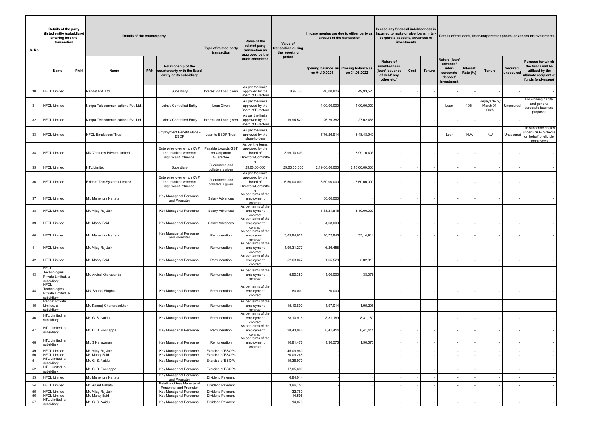| S. No | Details of the party<br>(listed entity /subsidiary)<br>entering into the<br>transaction |            | Details of the counterparty        |            |                                                                                 | Type of related party<br>transaction             | Value of the<br>related party<br>transaction as<br>approved by the     | Value of<br>transaction during<br>the reporting | In case monies are due to either party as<br>a result of the transaction |                                            | In case any financial indebtedness is<br>incurred to make or give loans, inter-<br>corporate deposits, advances or | investments |        | Details of the loans, inter-corporate deposits, advances or investments    |                      |                                   |                          |                                                                                                         |  |  |
|-------|-----------------------------------------------------------------------------------------|------------|------------------------------------|------------|---------------------------------------------------------------------------------|--------------------------------------------------|------------------------------------------------------------------------|-------------------------------------------------|--------------------------------------------------------------------------|--------------------------------------------|--------------------------------------------------------------------------------------------------------------------|-------------|--------|----------------------------------------------------------------------------|----------------------|-----------------------------------|--------------------------|---------------------------------------------------------------------------------------------------------|--|--|
|       | Name                                                                                    | <b>PAN</b> | Name                               | <b>PAN</b> | Relationship of the<br>counterparty with the listed<br>entity or its subsidiary |                                                  | audit committee                                                        | period                                          | <b>Opening balance as</b><br>on 01.10.2021                               | <b>Closing balance as</b><br>on 31.03.2022 | <b>Nature of</b><br>indebtedness<br>(loan/issuance<br>of debt/ any<br>other etc.)                                  | Cost        | Tenure | Nature (Ioan/<br>advance/<br>inter-<br>corporate<br>deposit/<br>investment | Interest<br>Rate (%) | <b>Tenure</b>                     | Secured/<br>unsecured    | Purpose for which<br>the funds will be<br>utilised by the<br>ultimate recipient of<br>funds (end-usage) |  |  |
| 30    | <b>HFCL Limited</b>                                                                     |            | Raddef Pvt. Ltd.                   |            | Subsidiary                                                                      | Interest on Loan given                           | As per the limits<br>approved by the<br><b>Board of Directors</b>      | 8,97,535                                        | 46,00,826                                                                | 49,93,523                                  |                                                                                                                    |             |        |                                                                            |                      |                                   |                          |                                                                                                         |  |  |
| 31    | <b>HFCL Limited</b>                                                                     |            | Nimpa Telecommunications Pvt. Ltd. |            | Jointly Controlled Entity                                                       | Loan Given                                       | As per the limits<br>approved by the<br><b>Board of Directors</b>      | $\overline{\phantom{a}}$                        | 4,00,00,000                                                              | 4,00,00,000                                |                                                                                                                    |             |        | Loan                                                                       | 10%                  | Repayable by<br>March 01,<br>2025 | Unsecured                | For working capital<br>and general<br>corporate business<br>purposes                                    |  |  |
| 32    | <b>HFCL Limited</b>                                                                     |            | Nimpa Telecommunications Pvt. Ltd. |            | Jointly Controlled Entity                                                       | Interest on Loan given                           | As per the limits<br>approved by the<br><b>Board of Directors</b>      | 19,94,520                                       | 26,29,382                                                                | 27,02,465                                  |                                                                                                                    |             |        |                                                                            |                      |                                   |                          |                                                                                                         |  |  |
| 33    | <b>HFCL Limited</b>                                                                     |            | <b>HFCL Employees' Trust</b>       |            | Employment Benefit Plans -<br><b>ESOP</b>                                       | Loan to ESOP Trust                               | As per the limits<br>approved by the<br>shareholders                   | $\overline{\phantom{a}}$                        | 5,76,26,914                                                              | 3,48,48,940                                |                                                                                                                    |             |        | Loan                                                                       | N.A                  | N.A                               | Unsecured                | To subscribe shares<br>under ESOP Scheme<br>on behalf of eligible<br>employees                          |  |  |
| 34    | <b>HFCL Limited</b>                                                                     |            | <b>MN Ventures Private Limited</b> |            | Enterprise over which KMP<br>and relatives exercise<br>significant influence    | Payable towards GST<br>on Corporate<br>Guarantee | As per the terms<br>approved by the<br>Board of<br>Directors/Committe  | 3,99,10,403                                     |                                                                          | 3,99,10,403                                |                                                                                                                    |             |        |                                                                            |                      |                                   |                          |                                                                                                         |  |  |
| 35    | <b>HFCL Limited</b>                                                                     |            | <b>HTL Limited</b>                 |            | Subsidiary                                                                      | Guarantees and<br>collaterals given              | 29,00,00,000                                                           | 29,00,00,000                                    | 2,19,00,00,000                                                           | 2,48,00,00,000                             |                                                                                                                    |             |        |                                                                            |                      |                                   |                          |                                                                                                         |  |  |
| 36    | <b>HFCL Limited</b>                                                                     |            | Exicom Tele-Systems Limited        |            | Enterprise over which KMP<br>and relatives exercise<br>significant influence    | Guarantees and<br>collaterals given              | As per the limits<br>approved by the<br>Board of<br>Directors/Committe | 6,50,00,000                                     | 6,50,00,000                                                              | 6,50,00,000                                |                                                                                                                    |             |        |                                                                            |                      |                                   |                          |                                                                                                         |  |  |
| 37    | <b>HFCL Limited</b>                                                                     |            | Mr. Mahendra Nahata                |            | Key Managerial Personnel<br>and Promoter                                        | <b>Salary Advances</b>                           | As per terms of the<br>employment<br>contract                          | $\overline{\phantom{a}}$                        | 30,00,000                                                                |                                            |                                                                                                                    |             |        |                                                                            |                      |                                   |                          |                                                                                                         |  |  |
| 38    | <b>HFCL Limited</b>                                                                     |            | Mr. Vijay Raj Jain                 |            | Key Managerial Personnel                                                        | <b>Salary Advances</b>                           | As per terms of the<br>employment<br>contract                          | $\overline{\phantom{a}}$                        | 1,38,21,815                                                              | 1,10,00,000                                |                                                                                                                    |             |        |                                                                            |                      |                                   |                          |                                                                                                         |  |  |
| 39    | <b>HFCL Limited</b>                                                                     |            | Mr. Manoj Baid                     |            | Key Managerial Personnel                                                        | <b>Salary Advances</b>                           | As per terms of the<br>employment<br>contract                          | $\overline{\phantom{a}}$                        | 4,68,000                                                                 |                                            |                                                                                                                    |             |        |                                                                            |                      |                                   | . .                      |                                                                                                         |  |  |
| 40    | <b>HFCL Limited</b>                                                                     |            | Mr. Mahendra Nahata                |            | Key Managerial Personnel<br>and Promoter                                        | Remuneration                                     | As per terms of the<br>employment<br>contract                          | 3,69,94,622                                     | 16,72,946                                                                | 35,14,914                                  |                                                                                                                    |             |        |                                                                            |                      |                                   |                          |                                                                                                         |  |  |
| 41    | <b>HFCL Limited</b>                                                                     |            | Mr. Vijay Raj Jain                 |            | Key Managerial Personnel                                                        | Remuneration                                     | As per terms of the<br>employment<br>contract                          | 1,99,31,277                                     | 6,26,458                                                                 |                                            |                                                                                                                    |             |        |                                                                            |                      |                                   |                          |                                                                                                         |  |  |
| 42    | <b>HFCL Limited</b>                                                                     |            | Mr. Manoj Baid                     |            | Key Managerial Personnel                                                        | Remuneration                                     | As per terms of the<br>employment<br>contract                          | 52,63,047                                       | 1,65,528                                                                 | 3,02,818                                   |                                                                                                                    |             |        |                                                                            |                      |                                   |                          |                                                                                                         |  |  |
| 43    | <b>HECL</b><br>Technologies<br>Private Limited, a<br>subsidiary                         |            | Mr. Arvind Kharabanda              |            | Key Managerial Personnel                                                        | Remuneration                                     | As per terms of the<br>employment<br>contract                          | 5,90,380                                        | 1,00,000                                                                 | 38,076                                     |                                                                                                                    |             |        |                                                                            |                      |                                   |                          |                                                                                                         |  |  |
| 44    | <b>HFCL</b><br>Technologies<br>Private Limited a<br>subsidiary                          |            | Ms. Shubhi Singhal                 |            | Key Managerial Personnel                                                        | Remuneration                                     | As per terms of the<br>employment<br>contract                          | 80,001                                          | 20,000                                                                   |                                            |                                                                                                                    |             |        |                                                                            |                      |                                   |                          |                                                                                                         |  |  |
| 45    | Raddef Private<br>Limited, a<br>subsidiary                                              |            | Mr. Kannaji Chandrasekhar          |            | Key Managerial Personnel                                                        | Remuneration                                     | As per terms of the<br>employment<br>contract                          | 15,10,800                                       | 1,97,014                                                                 | 1,95,205                                   |                                                                                                                    |             |        |                                                                            |                      |                                   | . —                      |                                                                                                         |  |  |
| 46    | HTL Limited, a<br>subsidiary                                                            |            | Mr. G. S. Naidu                    |            | Key Managerial Personnel                                                        | Remuneration                                     | As per terms of the<br>employment<br>contract                          | 28,10,916                                       | 8,31,189                                                                 | 8,31,189                                   |                                                                                                                    |             |        |                                                                            |                      |                                   |                          |                                                                                                         |  |  |
| 47    | ITL Limited, a<br>subsidiary                                                            |            | Mr. C. D. Ponnappa                 |            | Key Managerial Personnel                                                        | Remuneration                                     | As per terms of the<br>employment<br>contract                          | 28,43,046                                       | 8,41,414                                                                 | 8,41,414                                   |                                                                                                                    |             |        |                                                                            |                      |                                   |                          |                                                                                                         |  |  |
| 48    | ITL Limited, a<br>subsidiary                                                            |            | Mr. S Narayanan                    |            | Key Managerial Personnel                                                        | Remuneration                                     | As per terms of the<br>employment<br>contract                          | 10,91,478                                       | 1,90,575                                                                 | 1,90,575                                   |                                                                                                                    |             |        |                                                                            |                      |                                   |                          |                                                                                                         |  |  |
| 49    | <b>HFCL Limited</b>                                                                     |            | Mr. Vijay Raj Jain                 |            | Key Managerial Personnel                                                        | <b>Exercise of ESOPs</b>                         |                                                                        | 45,09,960                                       |                                                                          |                                            |                                                                                                                    |             |        |                                                                            |                      |                                   | $\overline{\phantom{a}}$ | $\sim$                                                                                                  |  |  |
| 50    | <b>HFCL Limited</b><br>HTL Limited, a                                                   |            | Mr. Manoj Baid                     |            | Key Managerial Personnel                                                        | Exercise of ESOPs                                |                                                                        | 20,09,245                                       |                                                                          |                                            |                                                                                                                    |             |        |                                                                            |                      |                                   | $\overline{\phantom{a}}$ |                                                                                                         |  |  |
| 51    | subsidiarv<br>ITL Limited, a                                                            |            | Mr. G. S. Naidu                    |            | Key Managerial Personnel                                                        | <b>Exercise of ESOPs</b>                         |                                                                        | 19,36,970                                       |                                                                          |                                            |                                                                                                                    |             |        |                                                                            |                      |                                   |                          |                                                                                                         |  |  |
| 52    | subsidiary                                                                              |            | Mr. C. D. Ponnappa                 |            | Key Managerial Personnel                                                        | Exercise of ESOPs                                |                                                                        | 17,05,690                                       |                                                                          |                                            |                                                                                                                    |             |        |                                                                            |                      |                                   |                          |                                                                                                         |  |  |
| 53    | <b>HFCL Limited</b>                                                                     |            | Mr. Mahendra Nahata                |            | Key Managerial Personnel<br>and Promoter                                        | <b>Dividend Payment</b>                          |                                                                        | 6,84,014                                        |                                                                          |                                            |                                                                                                                    |             |        |                                                                            |                      |                                   |                          |                                                                                                         |  |  |
| 54    | <b>HFCL Limited</b>                                                                     |            | Mr. Anant Nahata                   |            | Relative of Key Managerial<br>Personnel and Promoter                            | Dividend Payment                                 |                                                                        | 3,96,750                                        |                                                                          |                                            |                                                                                                                    |             |        |                                                                            |                      |                                   |                          |                                                                                                         |  |  |
| 55    | <b>HFCL Limited</b>                                                                     |            | Mr. Vijay Raj Jain                 |            | Key Managerial Personnel                                                        | Dividend Payment                                 |                                                                        | 32,760                                          |                                                                          |                                            |                                                                                                                    |             |        |                                                                            |                      |                                   |                          |                                                                                                         |  |  |
| 56    | <b>HFCL Limited</b><br>ITL Limited, a                                                   |            | Mr. Manoj Baid                     |            | Key Managerial Personnel                                                        | Dividend Payment                                 |                                                                        | 14,595                                          |                                                                          |                                            |                                                                                                                    |             |        |                                                                            |                      |                                   |                          | $\sim$                                                                                                  |  |  |
| 57    | subsidiary                                                                              |            | Mr. G. S. Naidu                    |            | Key Managerial Personnel                                                        | Dividend Payment                                 |                                                                        | 14,070                                          |                                                                          |                                            |                                                                                                                    |             |        |                                                                            |                      |                                   |                          |                                                                                                         |  |  |